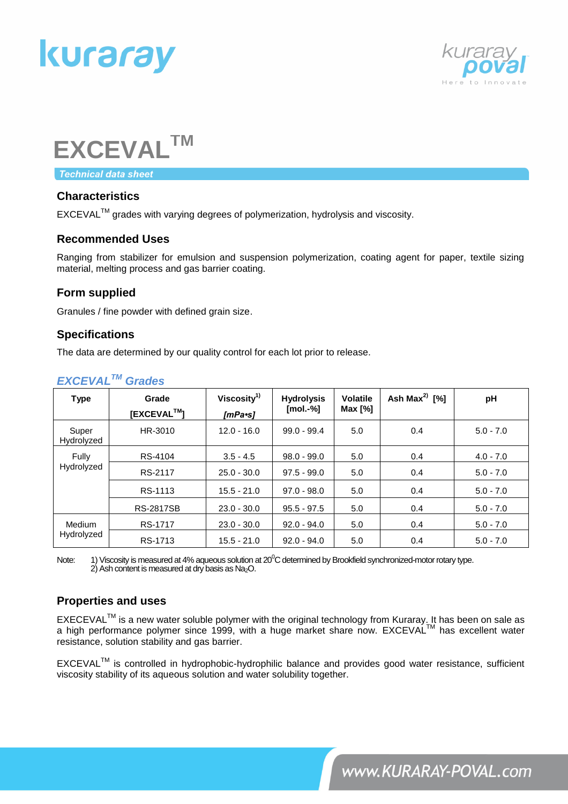



# **EXCEVALTM**

**Technical data sheet** 

## **Characteristics**

EXCEVALTM grades with varying degrees of polymerization, hydrolysis and viscosity.

## **Recommended Uses**

Ranging from stabilizer for emulsion and suspension polymerization, coating agent for paper, textile sizing material, melting process and gas barrier coating.

## **Form supplied**

Granules / fine powder with defined grain size.

## **Specifications**

The data are determined by our quality control for each lot prior to release.

| <b>Type</b>          | Grade<br>[EXCEVAL™] | Viscosity <sup>1)</sup><br>[mPa•s] | <b>Hydrolysis</b><br>$[mol.-%]$ | <b>Volatile</b><br>Max [%] | Ash Max <sup>2)</sup> [%] | pH          |
|----------------------|---------------------|------------------------------------|---------------------------------|----------------------------|---------------------------|-------------|
| Super<br>Hydrolyzed  | HR-3010             | $12.0 - 16.0$                      | $99.0 - 99.4$                   | 5.0                        | 0.4                       | $5.0 - 7.0$ |
| Fully<br>Hydrolyzed  | RS-4104             | $3.5 - 4.5$                        | $98.0 - 99.0$                   | 5.0                        | 0.4                       | $4.0 - 7.0$ |
|                      | RS-2117             | $25.0 - 30.0$                      | $97.5 - 99.0$                   | 5.0                        | 0.4                       | $5.0 - 7.0$ |
|                      | RS-1113             | $15.5 - 21.0$                      | $97.0 - 98.0$                   | 5.0                        | 0.4                       | $5.0 - 7.0$ |
|                      | <b>RS-2817SB</b>    | $23.0 - 30.0$                      | $95.5 - 97.5$                   | 5.0                        | 0.4                       | $5.0 - 7.0$ |
| Medium<br>Hydrolyzed | RS-1717             | $23.0 - 30.0$                      | $92.0 - 94.0$                   | 5.0                        | 0.4                       | $5.0 - 7.0$ |
|                      | RS-1713             | $15.5 - 21.0$                      | $92.0 - 94.0$                   | 5.0                        | 0.4                       | $5.0 - 7.0$ |

## *EXCEVALTM Grades*

Note: 1) Viscosity is measured at 4% aqueous solution at  $20^{\circ}$ C determined by Brookfield synchronized-motor rotary type. 2) Ash content is measured at dry basis as Na2O.

## **Properties and uses**

EXECEVAL™ is a new water soluble polymer with the original technology from Kuraray. It has been on sale as a high performance polymer since 1999, with a huge market share now. EXCEVAL™ has excellent water resistance, solution stability and gas barrier.

EXCEVALTM is controlled in hydrophobic-hydrophilic balance and provides good water resistance, sufficient viscosity stability of its aqueous solution and water solubility together.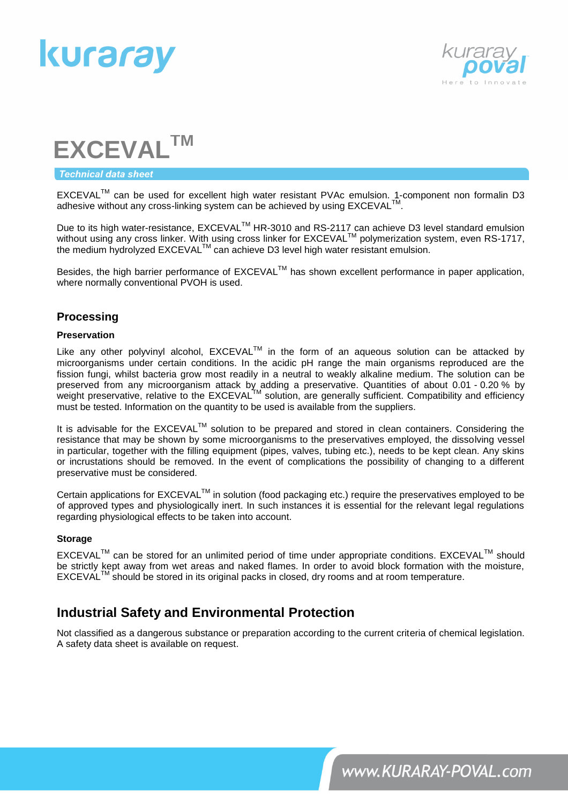



# **EXCEVALTM**

#### **Technical data sheet**

EXCEVALTM can be used for excellent high water resistant PVAc emulsion. 1-component non formalin D3 adhesive without any cross-linking system can be achieved by using  $\mathsf{EXCEVAL}^{\mathsf{TM}}$ .

Due to its high water-resistance, EXCEVAL<sup>™</sup> HR-3010 and RS-2117 can achieve D3 level standard emulsion Due to its high water-resistance, EXCEVALT This so to and two 2117 San denote Do lover standard children.<br>Without using any cross linker. With using cross linker for EXCEVAL™ polymerization system, even RS-1717, the medium hydrolyzed EXCEVAL™ can achieve D3 level high water resistant emulsion.

Besides, the high barrier performance of EXCEVAL™ has shown excellent performance in paper application, where normally conventional PVOH is used.

### **Processing**

#### **Preservation**

Like any other polyvinyl alcohol, EXCEVAL™ in the form of an aqueous solution can be attacked by microorganisms under certain conditions. In the acidic pH range the main organisms reproduced are the fission fungi, whilst bacteria grow most readily in a neutral to weakly alkaline medium. The solution can be preserved from any microorganism attack by adding a preservative. Quantities of about 0.01 - 0.20 % by weight preservative, relative to the EXCEVAL<sup>TM</sup> solution, are generally sufficient. Compatibility and efficiency must be tested. Information on the quantity to be used is available from the suppliers.

It is advisable for the EXCEVAL<sup>TM</sup> solution to be prepared and stored in clean containers. Considering the resistance that may be shown by some microorganisms to the preservatives employed, the dissolving vessel in particular, together with the filling equipment (pipes, valves, tubing etc.), needs to be kept clean. Any skins or incrustations should be removed. In the event of complications the possibility of changing to a different preservative must be considered.

Certain applications for EXCEVAL™ in solution (food packaging etc.) require the preservatives employed to be of approved types and physiologically inert. In such instances it is essential for the relevant legal regulations regarding physiological effects to be taken into account.

#### **Storage**

EXCEVAL™ can be stored for an unlimited period of time under appropriate conditions. EXCEVAL™ should be strictly kept away from wet areas and naked flames. In order to avoid block formation with the moisture,  $EXCEVAL<sup>IM</sup>$  should be stored in its original packs in closed, dry rooms and at room temperature.

# **Industrial Safety and Environmental Protection**

Not classified as a dangerous substance or preparation according to the current criteria of chemical legislation. A safety data sheet is available on request.